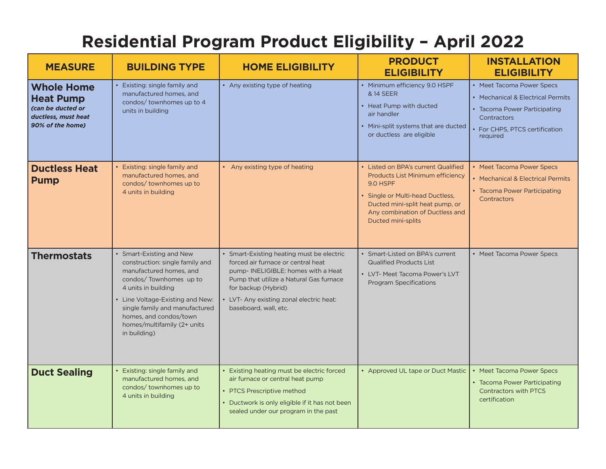## **Residential Program Product Eligibility – April 2022**

| <b>MEASURE</b>                                                                                        | <b>BUILDING TYPE</b>                                                                                                                                                                                                                                                                 | <b>HOME ELIGIBILITY</b>                                                                                                                                                                                                                                      | <b>PRODUCT</b><br><b>ELIGIBILITY</b>                                                                                                                                                                                       | <b>INSTALLATION</b><br><b>ELIGIBILITY</b>                                                                                                                 |
|-------------------------------------------------------------------------------------------------------|--------------------------------------------------------------------------------------------------------------------------------------------------------------------------------------------------------------------------------------------------------------------------------------|--------------------------------------------------------------------------------------------------------------------------------------------------------------------------------------------------------------------------------------------------------------|----------------------------------------------------------------------------------------------------------------------------------------------------------------------------------------------------------------------------|-----------------------------------------------------------------------------------------------------------------------------------------------------------|
| <b>Whole Home</b><br><b>Heat Pump</b><br>(can be ducted or<br>ductless, must heat<br>90% of the home) | Existing: single family and<br>manufactured homes, and<br>condos/ townhomes up to 4<br>units in building                                                                                                                                                                             | • Any existing type of heating                                                                                                                                                                                                                               | • Minimum efficiency 9.0 HSPF<br>& 14 SEER<br>• Heat Pump with ducted<br>air handler<br>• Mini-split systems that are ducted<br>or ductless are eligible                                                                   | • Meet Tacoma Power Specs<br>• Mechanical & Electrical Permits<br>• Tacoma Power Participating<br>Contractors<br>For CHPS, PTCS certification<br>required |
| <b>Ductless Heat</b><br><b>Pump</b>                                                                   | Existing: single family and<br>manufactured homes, and<br>condos/ townhomes up to<br>4 units in building                                                                                                                                                                             | • Any existing type of heating                                                                                                                                                                                                                               | • Listed on BPA's current Qualified<br>Products List Minimum efficiency<br>9.0 HSPF<br>• Single or Multi-head Ductless,<br>Ducted mini-split heat pump, or<br>Any combination of Ductless and<br><b>Ducted mini-splits</b> | • Meet Tacoma Power Specs<br>• Mechanical & Electrical Permits<br>• Tacoma Power Participating<br><b>Contractors</b>                                      |
| <b>Thermostats</b>                                                                                    | Smart-Existing and New<br>construction: single family and<br>manufactured homes, and<br>condos/Townhomes up to<br>4 units in building<br>• Line Voltage-Existing and New:<br>single family and manufactured<br>homes, and condos/town<br>homes/multifamily (2+ units<br>in building) | • Smart-Existing heating must be electric<br>forced air furnace or central heat<br>pump-INELIGIBLE: homes with a Heat<br>Pump that utilize a Natural Gas furnace<br>for backup (Hybrid)<br>• LVT- Any existing zonal electric heat:<br>baseboard, wall, etc. | • Smart-Listed on BPA's current<br><b>Qualified Products List</b><br>• LVT- Meet Tacoma Power's LVT<br><b>Program Specifications</b>                                                                                       | • Meet Tacoma Power Specs                                                                                                                                 |
| <b>Duct Sealing</b>                                                                                   | Existing: single family and<br>manufactured homes, and<br>condos/ townhomes up to<br>4 units in building                                                                                                                                                                             | • Existing heating must be electric forced<br>air furnace or central heat pump<br>• PTCS Prescriptive method<br>Ductwork is only eligible if it has not been<br>sealed under our program in the past                                                         | • Approved UL tape or Duct Mastic                                                                                                                                                                                          | • Meet Tacoma Power Specs<br>• Tacoma Power Participating<br><b>Contractors with PTCS</b><br>certification                                                |